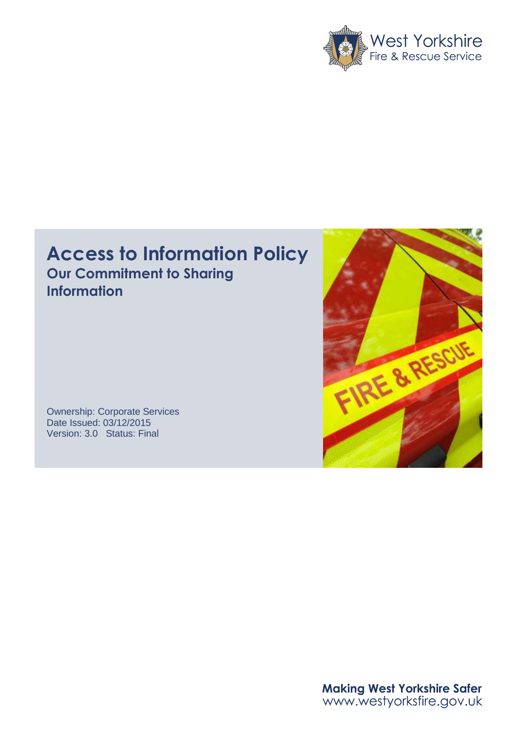

# **Access to Information Policy Our Commitment to Sharing Information**

Ownership: Corporate Services Date Issued: 03/12/2015 Version: 3.0 Status: Final



Making West Yorkshire Safer<br>www.westyorksfire.gov.uk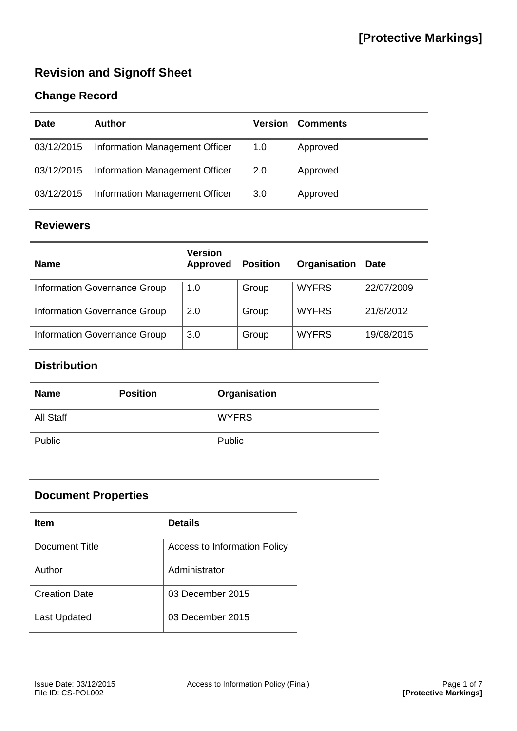## **Revision and Signoff Sheet**

## **Change Record**

| <b>Date</b> | Author                         | <b>Version</b> | <b>Comments</b> |
|-------------|--------------------------------|----------------|-----------------|
| 03/12/2015  | Information Management Officer | 1.0            | Approved        |
| 03/12/2015  | Information Management Officer | 2.0            | Approved        |
| 03/12/2015  | Information Management Officer | 3.0            | Approved        |

#### **Reviewers**

| <b>Name</b>                  | <b>Version</b><br><b>Approved</b> | <b>Position</b> | Organisation | <b>Date</b> |
|------------------------------|-----------------------------------|-----------------|--------------|-------------|
| Information Governance Group | 1.0                               | Group           | <b>WYFRS</b> | 22/07/2009  |
| Information Governance Group | 2.0                               | Group           | <b>WYFRS</b> | 21/8/2012   |
| Information Governance Group | 3.0                               | Group           | <b>WYFRS</b> | 19/08/2015  |

## **Distribution**

| <b>Name</b> | <b>Position</b> | Organisation |
|-------------|-----------------|--------------|
| All Staff   |                 | <b>WYFRS</b> |
| Public      |                 | Public       |
|             |                 |              |

## **Document Properties**

| <b>Item</b>          | <b>Details</b>                      |
|----------------------|-------------------------------------|
| Document Title       | <b>Access to Information Policy</b> |
| Author               | Administrator                       |
| <b>Creation Date</b> | 03 December 2015                    |
| <b>Last Updated</b>  | 03 December 2015                    |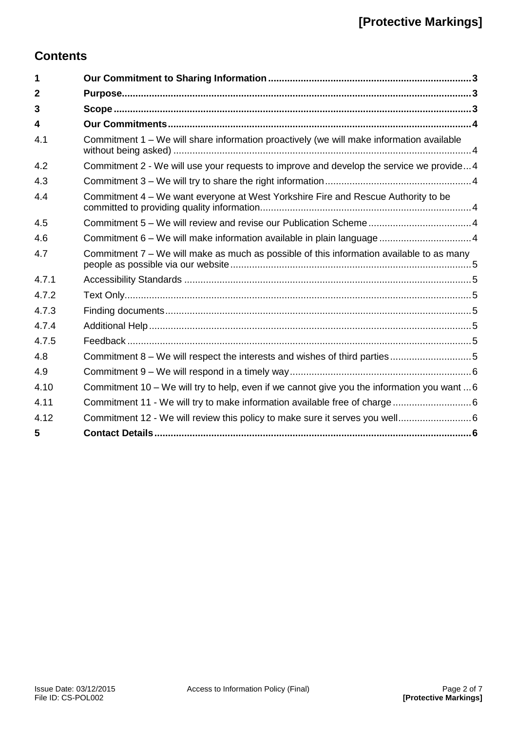## **Contents**

| 1                       |                                                                                             |
|-------------------------|---------------------------------------------------------------------------------------------|
| $\mathbf{2}$            |                                                                                             |
| 3                       |                                                                                             |
| $\overline{\mathbf{4}}$ |                                                                                             |
| 4.1                     | Commitment 1 - We will share information proactively (we will make information available    |
| 4.2                     | Commitment 2 - We will use your requests to improve and develop the service we provide4     |
| 4.3                     |                                                                                             |
| 4.4                     | Commitment 4 – We want everyone at West Yorkshire Fire and Rescue Authority to be           |
| 4.5                     |                                                                                             |
| 4.6                     | Commitment 6 - We will make information available in plain language  4                      |
| 4.7                     | Commitment 7 – We will make as much as possible of this information available to as many    |
| 4.7.1                   |                                                                                             |
| 4.7.2                   |                                                                                             |
| 4.7.3                   |                                                                                             |
| 4.7.4                   |                                                                                             |
| 4.7.5                   |                                                                                             |
| 4.8                     | Commitment 8 – We will respect the interests and wishes of third parties5                   |
| 4.9                     |                                                                                             |
| 4.10                    | Commitment 10 - We will try to help, even if we cannot give you the information you want  6 |
| 4.11                    |                                                                                             |
| 4.12                    |                                                                                             |
| 5                       |                                                                                             |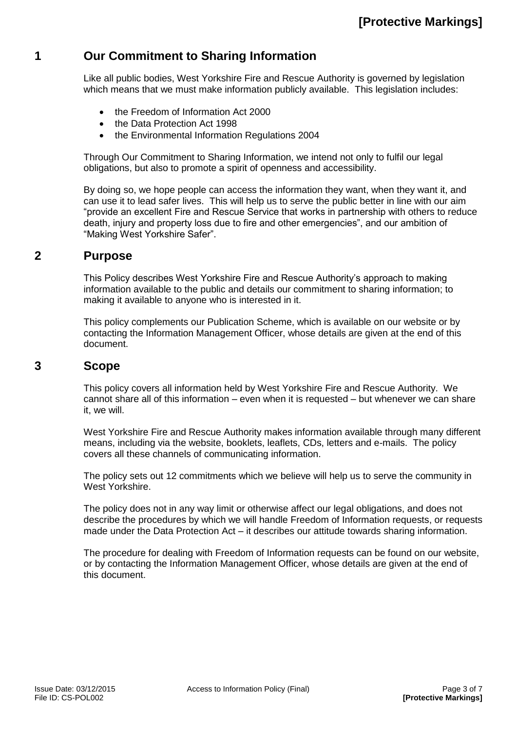## <span id="page-3-0"></span>**1 Our Commitment to Sharing Information**

Like all public bodies, West Yorkshire Fire and Rescue Authority is governed by legislation which means that we must make information publicly available. This legislation includes:

- the Freedom of Information Act 2000
- the Data Protection Act 1998
- the Environmental Information Regulations 2004

Through Our Commitment to Sharing Information, we intend not only to fulfil our legal obligations, but also to promote a spirit of openness and accessibility.

By doing so, we hope people can access the information they want, when they want it, and can use it to lead safer lives. This will help us to serve the public better in line with our aim "provide an excellent Fire and Rescue Service that works in partnership with others to reduce death, injury and property loss due to fire and other emergencies", and our ambition of "Making West Yorkshire Safer".

#### <span id="page-3-1"></span>**2 Purpose**

This Policy describes West Yorkshire Fire and Rescue Authority's approach to making information available to the public and details our commitment to sharing information; to making it available to anyone who is interested in it.

This policy complements our Publication Scheme, which is available on our website or by contacting the Information Management Officer, whose details are given at the end of this document.

#### <span id="page-3-2"></span>**3 Scope**

This policy covers all information held by West Yorkshire Fire and Rescue Authority. We cannot share all of this information – even when it is requested – but whenever we can share it, we will.

West Yorkshire Fire and Rescue Authority makes information available through many different means, including via the website, booklets, leaflets, CDs, letters and e-mails. The policy covers all these channels of communicating information.

The policy sets out 12 commitments which we believe will help us to serve the community in West Yorkshire.

The policy does not in any way limit or otherwise affect our legal obligations, and does not describe the procedures by which we will handle Freedom of Information requests, or requests made under the Data Protection Act – it describes our attitude towards sharing information.

The procedure for dealing with Freedom of Information requests can be found on our website, or by contacting the Information Management Officer, whose details are given at the end of this document.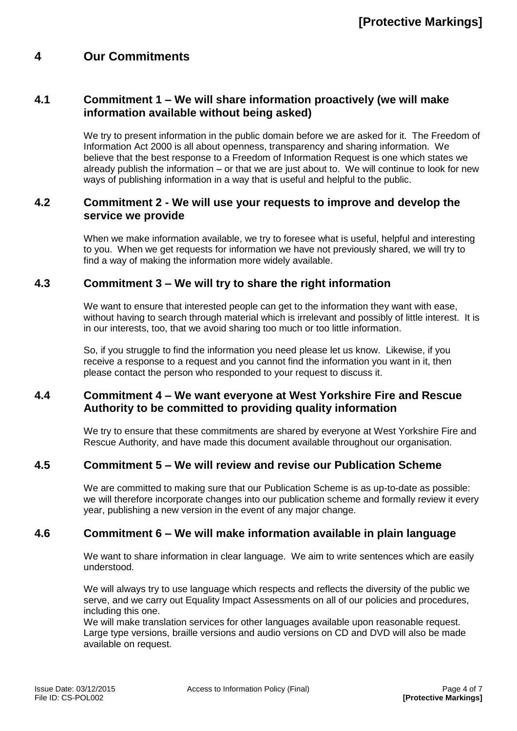### <span id="page-4-0"></span>**4 Our Commitments**

#### <span id="page-4-1"></span>**4.1 Commitment 1 – We will share information proactively (we will make information available without being asked)**

We try to present information in the public domain before we are asked for it. The Freedom of Information Act 2000 is all about openness, transparency and sharing information. We believe that the best response to a Freedom of Information Request is one which states we already publish the information – or that we are just about to. We will continue to look for new ways of publishing information in a way that is useful and helpful to the public.

#### <span id="page-4-2"></span>**4.2 Commitment 2 - We will use your requests to improve and develop the service we provide**

When we make information available, we try to foresee what is useful, helpful and interesting to you. When we get requests for information we have not previously shared, we will try to find a way of making the information more widely available.

#### <span id="page-4-3"></span>**4.3 Commitment 3 – We will try to share the right information**

We want to ensure that interested people can get to the information they want with ease, without having to search through material which is irrelevant and possibly of little interest. It is in our interests, too, that we avoid sharing too much or too little information.

So, if you struggle to find the information you need please let us know. Likewise, if you receive a response to a request and you cannot find the information you want in it, then please contact the person who responded to your request to discuss it.

#### <span id="page-4-4"></span>**4.4 Commitment 4 – We want everyone at West Yorkshire Fire and Rescue Authority to be committed to providing quality information**

We try to ensure that these commitments are shared by everyone at West Yorkshire Fire and Rescue Authority, and have made this document available throughout our organisation.

#### <span id="page-4-5"></span>**4.5 Commitment 5 – We will review and revise our Publication Scheme**

We are committed to making sure that our Publication Scheme is as up-to-date as possible: we will therefore incorporate changes into our publication scheme and formally review it every year, publishing a new version in the event of any major change.

#### <span id="page-4-6"></span>**4.6 Commitment 6 – We will make information available in plain language**

We want to share information in clear language. We aim to write sentences which are easily understood.

We will always try to use language which respects and reflects the diversity of the public we serve, and we carry out Equality Impact Assessments on all of our policies and procedures, including this one.

We will make translation services for other languages available upon reasonable request. Large type versions, braille versions and audio versions on CD and DVD will also be made available on request.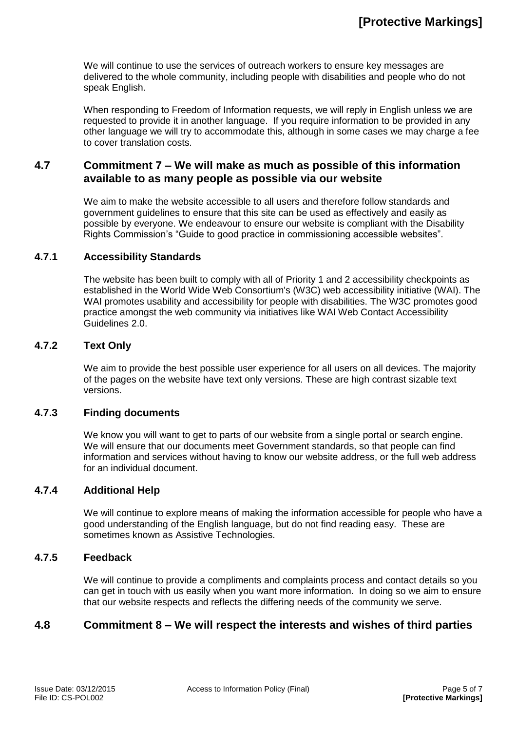We will continue to use the services of outreach workers to ensure key messages are delivered to the whole community, including people with disabilities and people who do not speak English.

When responding to Freedom of Information requests, we will reply in English unless we are requested to provide it in another language. If you require information to be provided in any other language we will try to accommodate this, although in some cases we may charge a fee to cover translation costs.

#### <span id="page-5-0"></span>**4.7 Commitment 7 – We will make as much as possible of this information available to as many people as possible via our website**

We aim to make the website accessible to all users and therefore follow standards and government guidelines to ensure that this site can be used as effectively and easily as possible by everyone. We endeavour to ensure our website is compliant with the Disability Rights Commission's "Guide to good practice in commissioning accessible websites".

#### <span id="page-5-1"></span>**4.7.1 Accessibility Standards**

The website has been built to comply with all of Priority 1 and 2 accessibility checkpoints as established in the World Wide Web Consortium's (W3C) web accessibility initiative (WAI). The WAI promotes usability and accessibility for people with disabilities. The W3C promotes good practice amongst the web community via initiatives like WAI Web Contact Accessibility Guidelines 2.0.

#### <span id="page-5-2"></span>**4.7.2 Text Only**

We aim to provide the best possible user experience for all users on all devices. The majority of the pages on the website have text only versions. These are high contrast sizable text versions.

#### <span id="page-5-3"></span>**4.7.3 Finding documents**

We know you will want to get to parts of our website from a single portal or search engine. We will ensure that our documents meet Government standards, so that people can find information and services without having to know our website address, or the full web address for an individual document.

#### <span id="page-5-4"></span>**4.7.4 Additional Help**

We will continue to explore means of making the information accessible for people who have a good understanding of the English language, but do not find reading easy. These are sometimes known as Assistive Technologies.

#### <span id="page-5-5"></span>**4.7.5 Feedback**

We will continue to provide a compliments and complaints process and contact details so you can get in touch with us easily when you want more information. In doing so we aim to ensure that our website respects and reflects the differing needs of the community we serve.

#### <span id="page-5-6"></span>**4.8 Commitment 8 – We will respect the interests and wishes of third parties**